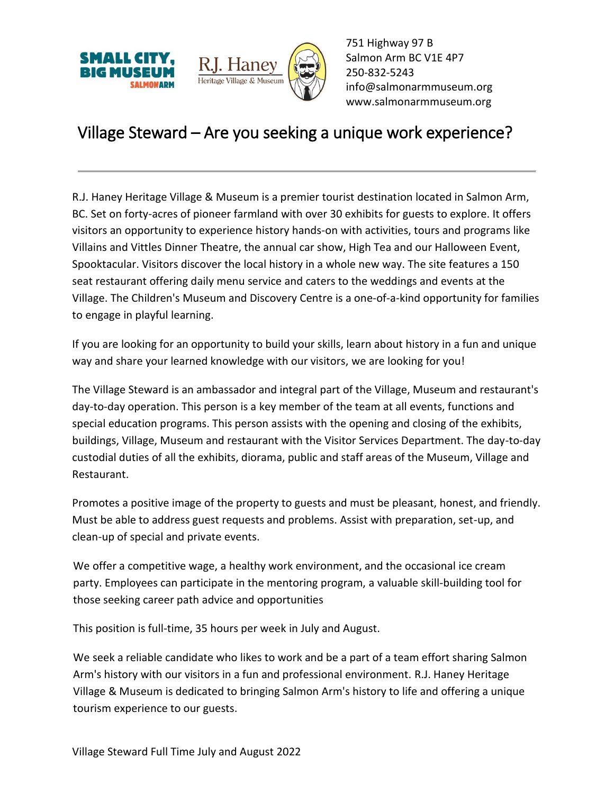



751 Highway 97 B Salmon Arm BC V1E 4P7 250-832-5243 [info@salmonarmmuseum.org](mailto:info@salmonarmmuseum.org) www.salmonarmmuseum.org

## Village Steward – Are you seeking a unique work experience?

R.J. Haney Heritage Village & Museum is a premier tourist destination located in Salmon Arm, BC. Set on forty-acres of pioneer farmland with over 30 exhibits for guests to explore. It offers visitors an opportunity to experience history hands-on with activities, tours and programs like Villains and Vittles Dinner Theatre, the annual car show, High Tea and our Halloween Event, Spooktacular. Visitors discover the local history in a whole new way. The site features a 150 seat restaurant offering daily menu service and caters to the weddings and events at the Village. The Children's Museum and Discovery Centre is a one-of-a-kind opportunity for families to engage in playful learning.

If you are looking for an opportunity to build your skills, learn about history in a fun and unique way and share your learned knowledge with our visitors, we are looking for you!

The Village Steward is an ambassador and integral part of the Village, Museum and restaurant's day-to-day operation. This person is a key member of the team at all events, functions and special education programs. This person assists with the opening and closing of the exhibits, buildings, Village, Museum and restaurant with the Visitor Services Department. The day-to-day custodial duties of all the exhibits, diorama, public and staff areas of the Museum, Village and Restaurant.

Promotes a positive image of the property to guests and must be pleasant, honest, and friendly. Must be able to address guest requests and problems. Assist with preparation, set-up, and clean-up of special and private events.

We offer a competitive wage, a healthy work environment, and the occasional ice cream party. Employees can participate in the mentoring program, a valuable skill-building tool for those seeking career path advice and opportunities

This position is full-time, 35 hours per week in July and August.

We seek a reliable candidate who likes to work and be a part of a team effort sharing Salmon Arm's history with our visitors in a fun and professional environment. R.J. Haney Heritage Village & Museum is dedicated to bringing Salmon Arm's history to life and offering a unique tourism experience to our guests.